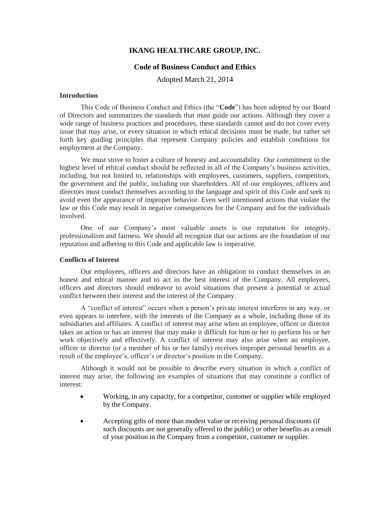# **IKANG HEALTHCARE GROUP, INC.**

# **Code of Business Conduct and Ethics**

Adopted March 21, 2014

## **Introduction**

This Code of Business Conduct and Ethics (the "**Code**") has been adopted by our Board of Directors and summarizes the standards that must guide our actions. Although they cover a wide range of business practices and procedures, these standards cannot and do not cover every issue that may arise, or every situation in which ethical decisions must be made, but rather set forth key guiding principles that represent Company policies and establish conditions for employment at the Company.

We must strive to foster a culture of honesty and accountability. Our commitment to the highest level of ethical conduct should be reflected in all of the Company's business activities, including, but not limited to, relationships with employees, customers, suppliers, competitors, the government and the public, including our shareholders. All of our employees, officers and directors must conduct themselves according to the language and spirit of this Code and seek to avoid even the appearance of improper behavior. Even well intentioned actions that violate the law or this Code may result in negative consequences for the Company and for the individuals involved.

One of our Company's most valuable assets is our reputation for integrity, professionalism and fairness. We should all recognize that our actions are the foundation of our reputation and adhering to this Code and applicable law is imperative.

# **Conflicts of Interest**

Our employees, officers and directors have an obligation to conduct themselves in an honest and ethical manner and to act in the best interest of the Company. All employees, officers and directors should endeavor to avoid situations that present a potential or actual conflict between their interest and the interest of the Company.

A "conflict of interest" occurs when a person's private interest interferes in any way, or even appears to interfere, with the interests of the Company as a whole, including those of its subsidiaries and affiliates. A conflict of interest may arise when an employee, officer or director takes an action or has an interest that may make it difficult for him or her to perform his or her work objectively and effectively. A conflict of interest may also arise when an employee, officer or director (or a member of his or her family) receives improper personal benefits as a result of the employee's, officer's or director's position in the Company.

Although it would not be possible to describe every situation in which a conflict of interest may arise, the following are examples of situations that may constitute a conflict of interest:

- Working, in any capacity, for a competitor, customer or supplier while employed by the Company.
- Accepting gifts of more than modest value or receiving personal discounts (if such discounts are not generally offered to the public) or other benefits as a result of your position in the Company from a competitor, customer or supplier.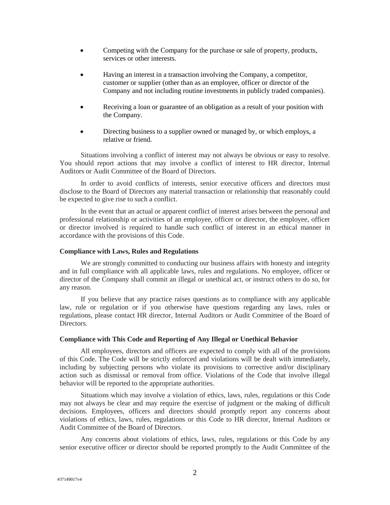- Competing with the Company for the purchase or sale of property, products, services or other interests.
- Having an interest in a transaction involving the Company, a competitor, customer or supplier (other than as an employee, officer or director of the Company and not including routine investments in publicly traded companies).
- Receiving a loan or guarantee of an obligation as a result of your position with the Company.
- Directing business to a supplier owned or managed by, or which employs, a relative or friend.

Situations involving a conflict of interest may not always be obvious or easy to resolve. You should report actions that may involve a conflict of interest to HR director, Internal Auditors or Audit Committee of the Board of Directors.

In order to avoid conflicts of interests, senior executive officers and directors must disclose to the Board of Directors any material transaction or relationship that reasonably could be expected to give rise to such a conflict.

In the event that an actual or apparent conflict of interest arises between the personal and professional relationship or activities of an employee, officer or director, the employee, officer or director involved is required to handle such conflict of interest in an ethical manner in accordance with the provisions of this Code.

#### **Compliance with Laws, Rules and Regulations**

We are strongly committed to conducting our business affairs with honesty and integrity and in full compliance with all applicable laws, rules and regulations. No employee, officer or director of the Company shall commit an illegal or unethical act, or instruct others to do so, for any reason.

If you believe that any practice raises questions as to compliance with any applicable law, rule or regulation or if you otherwise have questions regarding any laws, rules or regulations, please contact HR director, Internal Auditors or Audit Committee of the Board of Directors.

#### **Compliance with This Code and Reporting of Any Illegal or Unethical Behavior**

All employees, directors and officers are expected to comply with all of the provisions of this Code. The Code will be strictly enforced and violations will be dealt with immediately, including by subjecting persons who violate its provisions to corrective and/or disciplinary action such as dismissal or removal from office. Violations of the Code that involve illegal behavior will be reported to the appropriate authorities.

Situations which may involve a violation of ethics, laws, rules, regulations or this Code may not always be clear and may require the exercise of judgment or the making of difficult decisions. Employees, officers and directors should promptly report any concerns about violations of ethics, laws, rules, regulations or this Code to HR director, Internal Auditors or Audit Committee of the Board of Directors.

Any concerns about violations of ethics, laws, rules, regulations or this Code by any senior executive officer or director should be reported promptly to the Audit Committee of the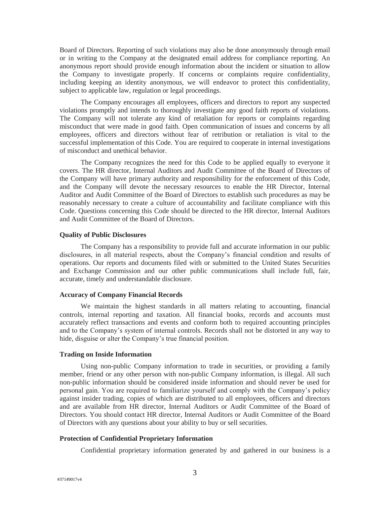Board of Directors. Reporting of such violations may also be done anonymously through email or in writing to the Company at the designated email address for compliance reporting. An anonymous report should provide enough information about the incident or situation to allow the Company to investigate properly. If concerns or complaints require confidentiality, including keeping an identity anonymous, we will endeavor to protect this confidentiality, subject to applicable law, regulation or legal proceedings.

The Company encourages all employees, officers and directors to report any suspected violations promptly and intends to thoroughly investigate any good faith reports of violations. The Company will not tolerate any kind of retaliation for reports or complaints regarding misconduct that were made in good faith. Open communication of issues and concerns by all employees, officers and directors without fear of retribution or retaliation is vital to the successful implementation of this Code. You are required to cooperate in internal investigations of misconduct and unethical behavior.

The Company recognizes the need for this Code to be applied equally to everyone it covers. The HR director, Internal Auditors and Audit Committee of the Board of Directors of the Company will have primary authority and responsibility for the enforcement of this Code, and the Company will devote the necessary resources to enable the HR Director, Internal Auditor and Audit Committee of the Board of Directors to establish such procedures as may be reasonably necessary to create a culture of accountability and facilitate compliance with this Code. Questions concerning this Code should be directed to the HR director, Internal Auditors and Audit Committee of the Board of Directors.

# **Quality of Public Disclosures**

The Company has a responsibility to provide full and accurate information in our public disclosures, in all material respects, about the Company's financial condition and results of operations. Our reports and documents filed with or submitted to the United States Securities and Exchange Commission and our other public communications shall include full, fair, accurate, timely and understandable disclosure.

## **Accuracy of Company Financial Records**

We maintain the highest standards in all matters relating to accounting, financial controls, internal reporting and taxation. All financial books, records and accounts must accurately reflect transactions and events and conform both to required accounting principles and to the Company's system of internal controls. Records shall not be distorted in any way to hide, disguise or alter the Company's true financial position.

#### **Trading on Inside Information**

Using non-public Company information to trade in securities, or providing a family member, friend or any other person with non-public Company information, is illegal. All such non-public information should be considered inside information and should never be used for personal gain. You are required to familiarize yourself and comply with the Company's policy against insider trading, copies of which are distributed to all employees, officers and directors and are available from HR director, Internal Auditors or Audit Committee of the Board of Directors. You should contact HR director, Internal Auditors or Audit Committee of the Board of Directors with any questions about your ability to buy or sell securities.

# **Protection of Confidential Proprietary Information**

Confidential proprietary information generated by and gathered in our business is a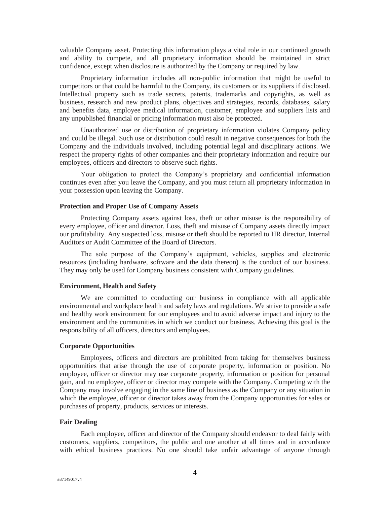valuable Company asset. Protecting this information plays a vital role in our continued growth and ability to compete, and all proprietary information should be maintained in strict confidence, except when disclosure is authorized by the Company or required by law.

Proprietary information includes all non-public information that might be useful to competitors or that could be harmful to the Company, its customers or its suppliers if disclosed. Intellectual property such as trade secrets, patents, trademarks and copyrights, as well as business, research and new product plans, objectives and strategies, records, databases, salary and benefits data, employee medical information, customer, employee and suppliers lists and any unpublished financial or pricing information must also be protected.

Unauthorized use or distribution of proprietary information violates Company policy and could be illegal. Such use or distribution could result in negative consequences for both the Company and the individuals involved, including potential legal and disciplinary actions. We respect the property rights of other companies and their proprietary information and require our employees, officers and directors to observe such rights.

Your obligation to protect the Company's proprietary and confidential information continues even after you leave the Company, and you must return all proprietary information in your possession upon leaving the Company.

## **Protection and Proper Use of Company Assets**

Protecting Company assets against loss, theft or other misuse is the responsibility of every employee, officer and director. Loss, theft and misuse of Company assets directly impact our profitability. Any suspected loss, misuse or theft should be reported to HR director, Internal Auditors or Audit Committee of the Board of Directors.

The sole purpose of the Company's equipment, vehicles, supplies and electronic resources (including hardware, software and the data thereon) is the conduct of our business. They may only be used for Company business consistent with Company guidelines.

# **Environment, Health and Safety**

We are committed to conducting our business in compliance with all applicable environmental and workplace health and safety laws and regulations. We strive to provide a safe and healthy work environment for our employees and to avoid adverse impact and injury to the environment and the communities in which we conduct our business. Achieving this goal is the responsibility of all officers, directors and employees.

#### **Corporate Opportunities**

Employees, officers and directors are prohibited from taking for themselves business opportunities that arise through the use of corporate property, information or position. No employee, officer or director may use corporate property, information or position for personal gain, and no employee, officer or director may compete with the Company. Competing with the Company may involve engaging in the same line of business as the Company or any situation in which the employee, officer or director takes away from the Company opportunities for sales or purchases of property, products, services or interests.

## **Fair Dealing**

Each employee, officer and director of the Company should endeavor to deal fairly with customers, suppliers, competitors, the public and one another at all times and in accordance with ethical business practices. No one should take unfair advantage of anyone through